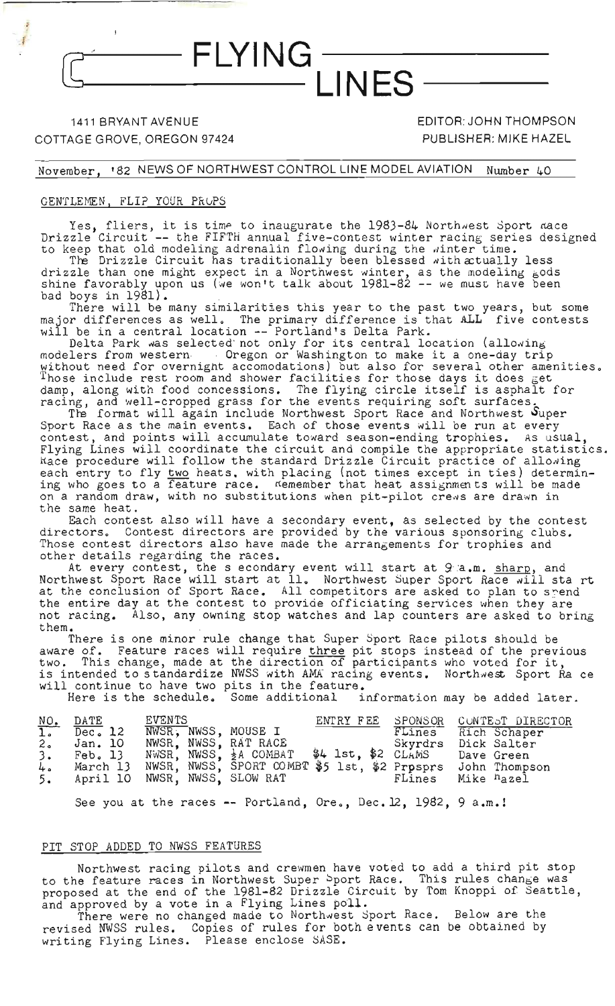## 1411 BRYANT AVENUE COTTAGE GROVE, OREGON 97424

EDITOR: JOHN THOMPSON PUBLISHER: MIKE HAZEL

November, '82 NEWS OF NORTHWEST CONTROL LINE MODEL AVIATION Nwnber 40

- FLYING

#### GENTLEMEN, FLIP YOUR PROPS

Yes, fliers, it is time to inaugurate the 1983-84 Northwest Sport mace Drizzle Circuit **--** the FIFTH annual five-contest winter racing series designed to keep that old modeling adrenalin flowing during the winter time.

**INFS** 

The Drizzle Circuit has traditionally been blessed with atually less drizzle than one might expect in a Northwest winter, as the modeling gods shine favorably upon us (we won't talk about 1981-82 **--** we must have been bad boys in 1981).

There will be many similarities this year to the past two years, but some major differences as well. The primary difference is that ALL five contests will be in a central location **--** Portland's Delta Park.

Delta Park was selected not only for its central location (allowing modelers from western or example of washington to make it a one-day trip without need for overnight accomodations) but also for several other amenities. Those include rest room and shower facilities for those days it does get damp, along with food concessions. The flying circle itself is asphalt for racing, along nather received erass for the events requiring soft surfaces.

The format will again include Northwest Sport Race and Northwest Super Sport Race as the main events. Each of those events will be run at every contest, and points will accumulate toward season-ending trophies. As usual, Flying Lines will coordinate the circuit and compile the appropriate statistics. liace procedure will follow the standard Drizzle Circuit practice of allowing each entry to fly two heats. with placing (not times except in ties) determining who goes to a feature race. Kemember that heat assignments will be made on a random draw, with no substitutions when pit-pilot crews are drawn in the same heat.

Each contest also will have a secondary event, as selected by the contest<br>directors. Contest directors are provided by the various sponsoring clubs. Contest directors are provided by the various sponsoring clubs. Those contest directors also have made the arrangements for trophies and other details regarding the races.

At every contest, the s econdary event will start at 9 a.m. sharp, and Northwest Sport Race will start at 11. Northwest Super Sport Race will sta rt at the conclusion of Sport Race. All competitors are asked to plan to spend the entire day at the contest to provide officiating services when they are not racing. Also, any owning stop watches and lap counters are asked to bring them.

There is one minor rule change that Super Sport Race pilots should be aware of. Feature races will require three pit stops instead of the previous two. This change, made at the direction of participants who voted for it, is intended to standardize NWSS with AMA racing events. Northwest Sport Ra ce will continue to have two pits in the feature.

Here is the schedule. Some additional information may be added later.

| $rac{NO_+}{1}$<br>2 <sub>o</sub><br>3.<br>4.<br>5. | DATE<br>Dec <sub>o</sub> 12<br>Jan. 10<br>$Feb$ , 13<br>March 13 | EVENTS<br>NWSR, NWSS, MOUSE I<br>NWSR. NWSS, RAT RACE<br>NWSR, NWSS, $\frac{1}{2}$ A COMBAT \$4 1st, \$2 CLAMS<br>NWSR, NWSS, SPORT COMBT \$5 lst, \$2 Prosprs<br>April 10 NWSR, NWSS, SLOW RAT | ENTRY FEE SPONSOR | FLines<br>Skyrdrs<br>FLines | CONTEST DIRECTOR<br>Rich Schaper<br>Dick Salter<br>Dave Green<br>John Thompson<br>Mike <sup>h</sup> azel |
|----------------------------------------------------|------------------------------------------------------------------|-------------------------------------------------------------------------------------------------------------------------------------------------------------------------------------------------|-------------------|-----------------------------|----------------------------------------------------------------------------------------------------------|
|                                                    |                                                                  |                                                                                                                                                                                                 |                   |                             |                                                                                                          |

See you at the races -- Portland, Ore., Dec. 12, 1982, 9 a.m.!

#### PIT STOP ADDED TO NWSS FEATURES

Northwest racing pilots and crewmen have voted to add a third pit stop to the feature races in Northwest Super Sport Race. This rules change was proposed at the end of the 1981-82 Drizzle Circuit by Tom Knoppi of Seattle, and approved by a vote in a Flying Lines poll.

There were no changed made to Northwest Sport Race. Below are the revised NWSS rules. Copies of rules for both events can be obtained by writing Flying Lines. Please enclose SASE.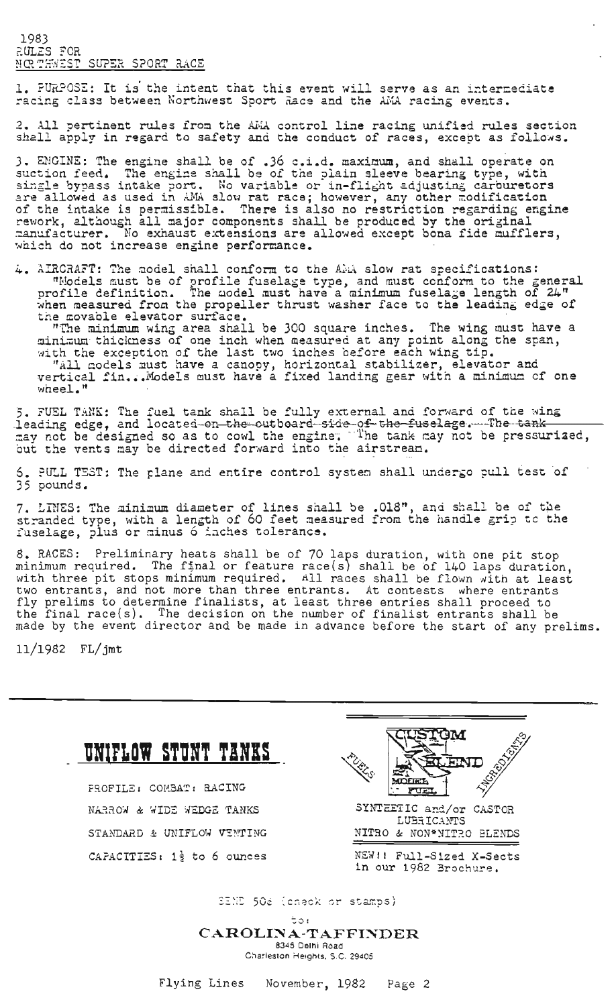1983 r-JJLZS ?OR NOT THEST SUPER SPORT RACE

1. PURPOSE: It is the intent that this event will serve as an intermediate racing class between Northwest Sport Race and the AMA racing events.

2. All pertinent rules from the AMA control line racing unified rules section shall apply in regard to safety and the conduct of races, except as follows.

3. ENGINE: The engine shall be of .36 c.i.d. maximum, and shall operate on suction feed. The engine shall be of the plain sleeve bearing type, with single bypass intake port. No variable or in-flight adjusting carburetors ingle syphos include ports. We variable of in-thighe dajubing carbardon of the intake is permissible. There is also no restriction regarding engine rework, although all major components shall be produced by the original ~anufacturer. No exhaust extensions are allowed except bona fide mufflers, which do not increase engine performance.

 $\frac{1}{4}$ . AIRCRAFT: The model shall conform to the A $\frac{1}{4}$  slow rat specifications: "Models must be of profile fuselage type, and must conform to the general profile definition. The model must have a minimum fuselage when measured from the propeller thrust washer face to the leading edge of tne movable elevator surface.

"The minimum wing area shall be 300 square inches. The wing must have a mini-um thickness of one inch when measured at any point along the span, with the exception of the last two inches before each wing tip.<br>"All codels must have a canopy, horizontal stabilizer, elevator and vertical fin...Models must have a fixed landing gear with a minimum of one

5. FUEL TANK: The fuel tank shall be fully external and forward of the wing ...<br>leading edge, and located-on-the-outboard-side-of-the-fuselage....The-tank ~ay not be designed so as to cowl the engine"~The tan~ r:ay not be pressuriacd, hout the vents may be directed forward into the airstream.

 $6$ . PULL TEST: The plane and entire control system shall undergo pull test of 35 pounds.

7. LINES: The minimum diameter of lines shall be .018", and shall be of the it finds. The alminum didnesses of finds shell be sell, the ensure the spip to the fuselage, plus or minus 6 inches tolerance.

8. RACES: Preliminary heats shall be of 70 laps duration, with one pit stop  $\sigma$ . Moles. Triving moles chair so or  $\sigma$  raps duration, with one pro-scop minimum required. The final or feature race(s) shall be of 140 laps duration, with three pit stops minimum required. All races shall be flown with at least two entrants, and not more than three entrants. At contests where entrants fly prelims to determine finalists, at least three entries shall proceed to the final race(s). The decision on the number of finalist entrants shall be made by the event director and be made in advance before the start of any prelims.

11/1982 FL/jmt

 $whereL<sub>e</sub>$ <sup>n</sup>

| UNIFLOW STUNT TANKS<br>PROFILE: COMBAT: RACING | <b>Zitcopedam</b><br>PL BLS<br><b>ST. EIND</b>    |
|------------------------------------------------|---------------------------------------------------|
|                                                | <b>KUEL</b>                                       |
| NARROW & WIDE WEDGE TANKS                      | SYNTEETIC and/or CASTOR<br>LUBRICANTS             |
| STANDARD & UNIFLOW VENTING                     | NITRO & NON*NITRO BLENDS                          |
| CAPACITIES: $1\frac{1}{2}$ to 6 ounces         | NEW!! Full-Sized X-Sects<br>in our 1982 Brochure. |

stamps)

 $50:$ CAROLINA-TAFFINDER 8345 Delhi Road Charleston Heights, S.C. 29405

Flying Lines November, 1982 Page 2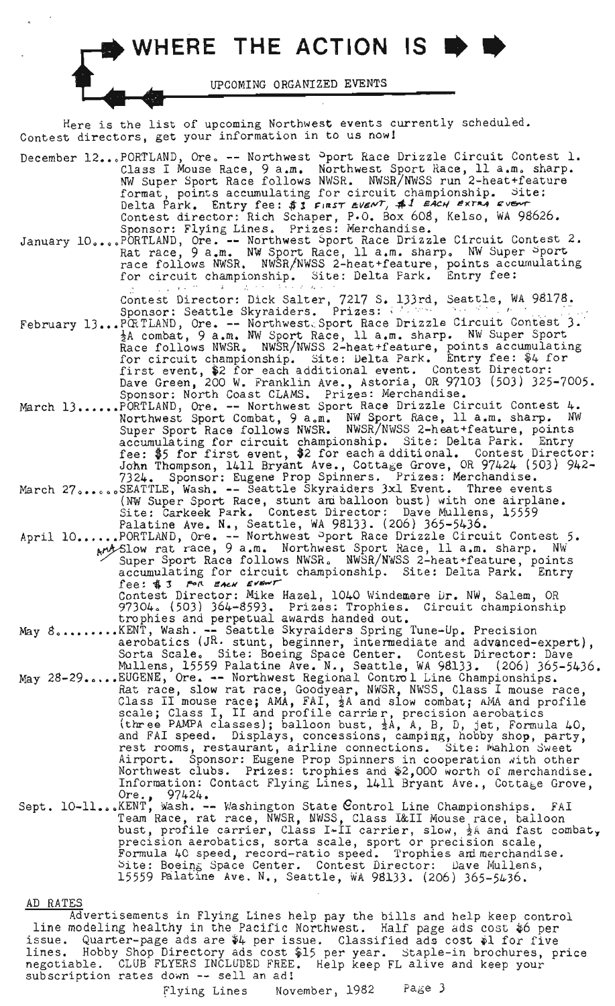

Here is the list of upcoming Northwest events currently scheduled. Contest directors, get your information in to us nowI

| December 12PORTLAND, Ore. -- Northwest <sup>O</sup> port Race Drizzle Circuit Contest 1.<br>Class I Mouse Race, 9 a.m. Northwest Sport Race, 11 a.m. sharp.<br>NW Super Sport Race follows NWSR. NWSR/NWSS run 2-heat+feature<br>format, points accumulating for circuit championship. Site:<br>Delta Park. Entry fee: \$3 FIRST EVENT, \$1 EACH EXTRA EVENT<br>Contest director: Rich Schaper, P.O. Box 608, Kelso, WA 98626.<br>Sponsor: Flying Lines. Prizes: Merchandise.<br>January 10PORTLAND, Ore. -- Northwest Sport Race Drizzle Circuit Contest 2.<br>Rat race, 9 a.m. NW Sport Race, 11 a.m. sharp. NW Super Sport<br>race follows NWSR. NWSR/NWSS 2-heat+feature, points accumulating<br>for circuit championship. Site: Delta Park. Entry fee:    |
|----------------------------------------------------------------------------------------------------------------------------------------------------------------------------------------------------------------------------------------------------------------------------------------------------------------------------------------------------------------------------------------------------------------------------------------------------------------------------------------------------------------------------------------------------------------------------------------------------------------------------------------------------------------------------------------------------------------------------------------------------------------|
| $\mathcal{S}^{\mathcal{A}}(\mathcal{A}^{\mathcal{A}}(\mathcal{A}^{\mathcal{A}}(\mathcal{A}^{\mathcal{A}})^{\mathcal{A}}))=\mathcal{S}^{\mathcal{A}}(\mathcal{A}^{\mathcal{A}}(\mathcal{A}^{\mathcal{A}})^{\mathcal{A}})\mathcal{S}^{\mathcal{A}}(\mathcal{A}^{\mathcal{A}}(\mathcal{A}^{\mathcal{A}})^{\mathcal{A}}).$<br>Contest Director: Dick Salter, 7217 S. 133rd, Seattle, WA 98178.<br>Sponsor: Seattle Skyraiders. Prizes: Western Seattle Press<br>February 13PORTLAND, Ore. -- Northwest. Sport Race Drizzle Circuit Contest 3.<br>gA combat, 9 a.m. NW Sport Race, 11 a.m. sharp. NW Super Sport<br>Race follows NWSR. NWSR/NWSS 2-heat+feature, points accumulating<br>for circuit championship. Site: Delta Park. Entry fee: \$4 for              |
| first event, \$2 for each additional event. Contest Director:<br>Dave Green, 200 W. Franklin Ave., Astoria, OR 97103 (503) 325-7005.<br>Sponsor: North Coast CLAMS. Prizes: Merchandise.<br>March 13PORTLAND, Ore. -- Northwest Sport Race Drizzle Circuit Contest 4.<br>Northwest Sport Combat, 9 a.m. NW Sport Race, 11 a.m. sharp. NW<br>Super Sport Race follows NWSR. NWSR/NWSS 2-heat+feature, points<br>accumulating for circuit championship. Site: Delta Park. Entry<br>fee: \$5 for first event, \$2 for each additional. Contest Director:                                                                                                                                                                                                          |
| John Thompson, 1411 Bryant Ave., Cottage Grove, OR 97424 (503) 942-<br>7324. Sponsor: Eugene Prop Spinners. Prizes: Merchandise.<br>March 27SEATTLE, Wash. -- Seattle Skyraiders 3xl Event. Three events<br>(NW Super Sport Race, stunt am balloon bust) with one airplane.<br>Site: Carkeek Park. Contest Director: Dave Mullens, 15559<br>Palatine Ave. N., Seattle, WA 98133. (206) 365-5436.<br>April 10PORTLAND, Ore. -- Northwest Pport Race Drizzle Circuit Contest 5.<br>And Slow rat race, 9 a.m. Northwest Sport Race, 11 a.m. sharp. NW<br>Super Sport Race follows NWSR. NWSR/NWSS 2-heat+feature, points<br>accumulating for circuit championship. Site: Delta Park. Entry                                                                        |
| fee: \$3 FOR EACH EVENT<br>Contest Director: Mike Hazel, 1040 Windemere Dr. NW, Salem, OR<br>97304. (503) 364-8593. Prizes: Trophies. Circuit championship<br>trophies and perpetual awards handed out.                                                                                                                                                                                                                                                                                                                                                                                                                                                                                                                                                        |
| May 8KENT, Wash. -- Seattle Skyraiders Spring Tune-Up. Precision<br>aerobatics (JR. stunt, beginner, intermediate and advanced-expert),<br>Sorta Scale. Site: Boeing Space Center. Contest Director: Dave<br>Mullens, 15559 Palatine Ave. N., Seattle, WA 98133. (206) 365-5436.                                                                                                                                                                                                                                                                                                                                                                                                                                                                               |
| May 28-29EUGENE, Ore. -- Northwest Regional Control Line Championships.<br>Rat race, slow rat race, Goodyear, NWSR, NWSS, Class I mouse race,<br>Class II mouse race; AMA, FAI, $\frac{1}{2}A$ and slow combat; AMA and profile<br>scale; Class I, II and profile carrier, precision aerobatics<br>(three PAMPA classes); balloon bust, $\frac{1}{2}A$ , A, B, D, jet, Formula 40,<br>and FAI speed. Displays, concessions, camping, hobby shop, party,<br>rest rooms, restaurant, airline connections. Site: Mahlon Sweet<br>Airport. Sponsor: Eugene Prop Spinners in cooperation with other<br>Northwest clubs. Prizes: trophies and \$2,000 worth of merchandise.<br>Information: Contact Flying Lines, 1411 Bryant Ave., Cottage Grove,<br>Ore., $97424.$ |
| Sept. 10-11KENT, Wash. -- Washington State Control Line Championships. FAI<br>Team Race, rat race, NWSR, NWSS, Class I&II Mouse race, balloon<br>bust, profile carrier, Class I-II carrier, slow, $\frac{1}{2}$ A and fast combat,<br>precision aerobatics, sorta scale, sport or precision scale,                                                                                                                                                                                                                                                                                                                                                                                                                                                             |

Formula 40 speed, record-ratio speed. Trophies am merchandise. Site: Boeing Space Center. Contest Director: Dave Mullens, 15559 Balatine Ave. N., Seattle, WA 98133. (206) 365-5436.

#### AD RATES

Advertisements in Flying Lines help pay the bills and help keep control line modeling healthy in the Pacific Northwest. Half page ads cost  $\phi$  per issue. Quarter-page ads are \$4 per issue. Classified ads cost \$1 for five lines. Hobby Shop Directory ads cost \$15 per year. Staple-in brochures, price negotiable. CLUB FLYERS INCLUDED FREE. Help keep FL alive and keep your subscription rates *down* -- sell an ad!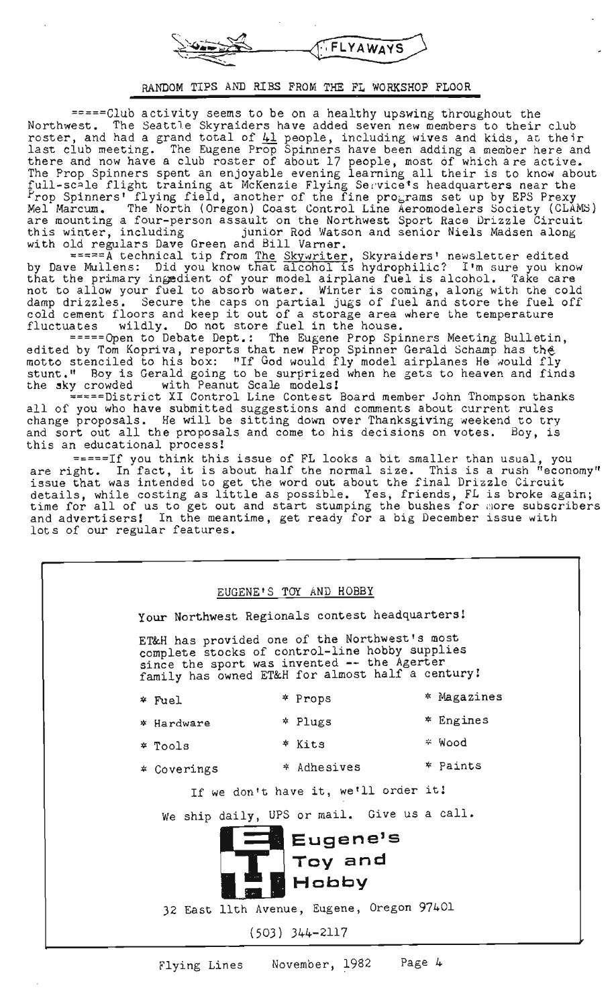FLYAWAYS

## RANDOM TIPS AND RIBS FROM THE FL WORKSHOP FLOOR

=====Club activity seems to be on a healthy upswing throughout the Northwest. The Seattle Skyraiders have added seven new members to their club roster, and had a grand total of  $41$  people, including wives and kids, at their last club meeting. The Eugene Prop Spinners have been adding a member here and there and now have a club roster of about 17 people, most of which are active. the edge and now have a club rosser of about 1, people, most of which are active. me flop opinions spons an onjoyable evening learning all their is to know as<br>full-scale flight training at McKenzie Flying Service's headquarters near the Prop Spinners' flying field, another of the fine programs set up by EPS Prexy<br>Mel Marcum. The North (Oregon) Coast Control Line Aeromodelers Society (CLAMS) are mounting a four-person assault on the Northwest Sport Race Drizzle Circuit are modhoing a roar porton assault on the Northwest Sport have Brighte official<br>this winter, including bunior Rod Watson and senior Niels Madsen along with old regulars Dave Green and Bill Varner.

 $z = z = A$  technical tip from The Skywriter, Skyraiders' newsletter edited by Dave Mullens: Did you know that alcohol is hydrophilic? I'm sure you know that the primary in§edient of your model airplane fuel is alcohol. Take care enac the primaly ingedient of your model alipiane ruel is alcohol. Take care damp drizzles. Secure the caps on partial jugs of fuel and store the fuel off damp drizzles. Secure the caps on partial jugs of fuel and store the fuel<br>cold cement floors and keep it out of a storage area where the temperature<br>fluctuates wildly. Do not store fuel in the house.

=====Open to Debate Dept.: The Eugene Prop Spinners Meeting Bulletin, edited by Tom Kopriva, reports that new Prop Spinner Gerald Schamp has the edited by fom hopitva, reports onde hew frop opinion defaitd schamp has one stunt." Boy is Gerald going to be surprized when he gets to heaven and finds the sky crowded with Peanut Scale models!

=====District XI Control Line Contest Board member John Thompson thanks all of you who have submitted suggestions and comments about current rules air of you who have submitted suggestroms and comments about current rafes change proposals. He will be sitting down over Thanksgiving weekend to try and sort out all the proposals and come to his decisions on votes. Boy, is this an educational process!

=====If you think this issue of FL looks a bit smaller than usual, you essue of FL looks a oft smaller than usual, you<br>are right. In fact, it is about half the normal size. This is a rush "economy" issue that was intended to get the word out about the final Drizzle Circuit issue that was intended to get the word out about the final Drizzie circuit<br>details, while costing as little as possible. Yes, friends, FL is broke again;<br>time for all of us to get out and start stumping the bushes for mor and advertisers! In the meantime, get ready for a big December issue with lots of our regular features.

| EUGENE'S TOY AND HOBBY                                                          |                                                                                                                                                                                                    |                                             |             |  |  |  |                      |
|---------------------------------------------------------------------------------|----------------------------------------------------------------------------------------------------------------------------------------------------------------------------------------------------|---------------------------------------------|-------------|--|--|--|----------------------|
|                                                                                 | Your Northwest Regionals contest headquarters!                                                                                                                                                     |                                             |             |  |  |  |                      |
|                                                                                 | ET&H has provided one of the Northwest's most<br>complete stocks of control-line hobby supplies<br>since the sport was invented -- the Agerter<br>family has owned ET&H for almost half a century! |                                             |             |  |  |  |                      |
|                                                                                 | * Fuel                                                                                                                                                                                             | * Props                                     | * Magazines |  |  |  |                      |
|                                                                                 | * Hardware                                                                                                                                                                                         | * Plugs                                     | $*$ Engines |  |  |  |                      |
|                                                                                 | * Tools                                                                                                                                                                                            | * Kits                                      | * Wood      |  |  |  |                      |
|                                                                                 | * Coverings                                                                                                                                                                                        | * Adhesives                                 | * Paints    |  |  |  |                      |
| If we don't have it, we'll order it!                                            |                                                                                                                                                                                                    |                                             |             |  |  |  |                      |
|                                                                                 |                                                                                                                                                                                                    | We ship daily, UPS or mail. Give us a call. |             |  |  |  |                      |
| Eugene's<br>Toy and                                                             |                                                                                                                                                                                                    |                                             |             |  |  |  |                      |
| $\widetilde{\mathcal{I}}$<br>Hobby<br>32 East llth Avenue, Eugene, Oregon 97401 |                                                                                                                                                                                                    |                                             |             |  |  |  |                      |
|                                                                                 |                                                                                                                                                                                                    |                                             |             |  |  |  | $(503)$ $344 - 2117$ |
|                                                                                 |                                                                                                                                                                                                    |                                             |             |  |  |  |                      |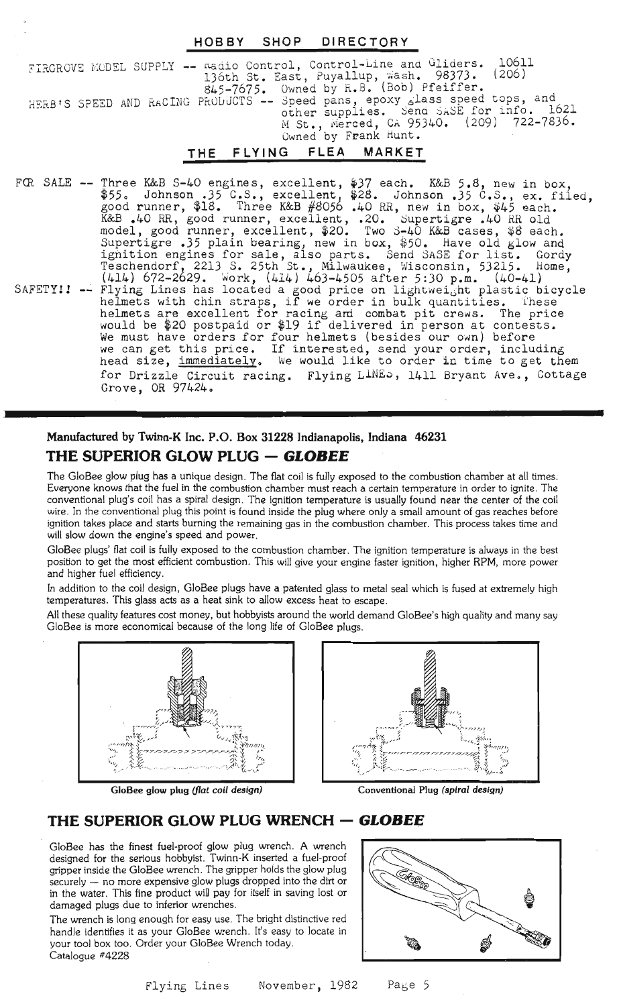## HOBBY SHOP DIRECTORY

FIRGROVE MODEL SUPPLY -- madio Control, Control-Line and Gliders. 10611 136th St. East, Puyallup, wash. 98373. (206) 845-7675. Owned by R.B. (Bob) Pfeiffer. HEEB'S SPEED AND RACING PRODUCTS -- Speed pans, epoxy slass speed tops, and other supplies. Send SASE for info. 1621 M St., Merced, CA 95340. (209) 722-7836. Owned by Frank Hunt.

## THE FLYING FLEA MARKET

FOR SALE -- Three K&B S-40 engines, excellent, \$37 each. *K&B* 5.8, new in box, \$55. Johnson .35 C.S., excellent, \$28. Johnson .35 C.S., ex. filed, good runner, \$18. Three K&B #8056 .40 RR, new in box, \$45 each. K&B .40 RR, good runner, excellent, .20. Supertigre .40 RR old model, good runner, excellent, \$20. Two S-40 K&B cases, \$8 each. Supertigre .35 plain bearing, new in box, \$50. Have old glow and Supercigre .), piain bearing, new in box, \$90. Have old glow and<br>ignition engines for sale, also parts. Send SASE for list. Gordy Teschendorf, 2213 S. 25th St., Milwaukee, Wisconsin, 53215. Home, Teschendorf, 2213 S. 25th St., Milwaukee, Wisconsin, 53215. Home,<br>(414) 672–2629. Work, (414) 463–4505 after 5:30 p.m. (40–41) SAFETYII -- Flying Lines has located a good price on lightweight plastic bicycle riying Lines has located a good price on ligntweight plastic bid<br>helmets with chin straps, if we order in bulk quantities. These helmets are excellent for racing and combat pit crews. The price neimets are externent for racing and combat pit crews. The price is not extend to provide the second or  $19$  if delivered in person at contests. We must have orders for four helmets (besides our own) before we can get this price. If interested, send your order, including head size, immediately. We would like to order in time to get them head size, immediately. We would like to order in time to get them<br>for Drizzle Circuit racing. Flying L<sup>INE</sup>>, 1411 Bryant Ave., Cottage Grove, OR 97424.

# Manufactured by Twinn-K Inc. P.O. Box 31228 Indianapolis, Indiana 46231 **THE SUPERIOR GLOW PLUG - GLOBEE**

The GloBee glow plug has a unique design. The flat coil is fully exposed to the combustion chamber at all times; Everyone knows that the fuel in the combustion chamber must reach a certain temperature in order to ignite. The conventional plug's coil has a spiral design. The ignition temperature is usually found near the center of the coil wire. In the conventional plug this point is found inside the plug where only a small amount of gas reaches before ignition takes place and starts burning the remaining gas in the combustion chamber. This process takes time and will slow down the engine's speed and power.

GloBee plugs' flat coil is fully exposed to the combustion chamber. The ignition temperature is always in the best position to get the most efficient combustion. This will give your engine faster ignition, higher RPM, more power and higher fuel efficiency.

In addition to the coil design, GloBee plugs have a patented glass to metal seal which is fused at extremely high temperatures. This glass acts as a heat sink to allow excess heat to escape.

All these quality features cost money, but hobbyists around the world demand GloBee's high quality and many say GloBee is more economical because of the long life of GloBee plugs.





GloBee glow plug (flat coil design) Conventional Plug (spiral design)

## **THE SUPERIOR GLOW PLUG WRENCH - GLOBEE**

GloBee has the finest fuel-proof glow plug wrench. A wrench designed for the serious hobbyist. Twinn-K inserted a fuel-proof gripper inside the GloBee wrench. The gripper holds the glow plug securely - no more expensive glow plugs dropped into the dirt or in the water. This fine product will pay for itself in saving lost or damaged plugs due to inferior wrenches.

The wrench is long enough for easy use. The bright distinctive red handle identifies it as your GloBee wrench. It's easy to locate in your tool box too. Order your GloBee Wrench today. Catalogue #4228

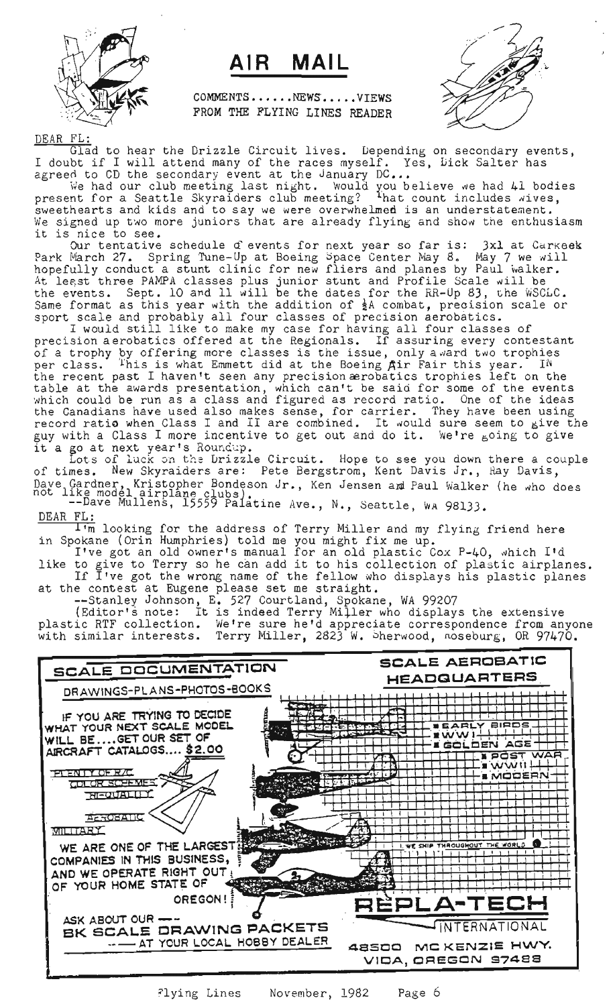

# AIR MAIL

COMMENTS.....NEWS.....VIEWS FROM THE FLYING LINES READER



DEAR FL:

....<br>Glad to hear the Drizzle Circuit lives. Depending on secondary events, Unad to hear the brizzie circuit lives. Depending on secondary every literation of the races myself. Yes, bick Salter has agreed to CD the secondary event at the January DC...

We had our club meeting last night. Would you believe we had 41 bodies present for a Seattle Skyraiders club meeting? That count includes wives, sweethearts and kids and to say we were overwhelmed is an understatement. We signed up two more juniors that are already flying and show the enthusiasm it is nice to see.

Our tentative schedule d events for next year so far is: 3xl at Carkeek Park March 27. Spring Tune-Up at Boeing Space Center May 8. May 7 we will hopefully conduct a stunt clinic for new fliers and planes by Paul walker. At least three PAMPA classes plus junior stunt and Profile Scale will be the events. Sept. 10 and 11 will be the dates for the RR-Up 83, the WSCLC. Same format as this year with the addition of  $\frac{1}{2}$ A combat, precision scale or same format as onts year with the addition of  $\frac{1}{2}$  combat, precision

scale and probably all four classes of precision aerobacics.<br>I would still like to make my case for having all four classes of precision aerobatics offered at the Regionals. If assuring every contestant of a trophy by offering more classes is the issue, only award two trophies of a crophy by criting more classes is the issue, only award the original per class. This is what havened the ac the boeing All rail this year. It the recent past I haven't seen any precision aerobatics trophies left on the table at the awards presentation, which can't be said for some of the events which could be run as a class and figured as record ratio. One of the ideas the Canadians have used also makes sense, for carrier. They have been using record ratio when Class <sup>I</sup> and II are combined. It would sure seem to give the guy with a Class I more incentive to get out and do it. We're soing to give it a go at next year's Roundup.

Lots of luck on the Drizzle Circuit. Hope to see you down there a couple of times. New Skyraiders are: Pete Bergstrom, Kent Davis Jr., Ray Davis, Jave Gardner, Kristopher Bondeson Jr., Ken Jensen am Paul Walker (he who does<br>not like model airplane clubs).

--Dave Mullens, 15559 Palatine Ave., N., Seattle, WA 98133. DEAR FL:

 $\overline{1\cdot m}$  looking for the address of Terry Miller and my flying friend here in Spokane (Orin Humphries) told me you might fix me up.

I've got an old owner's manual for an old plastic Cox P-40, which I'd like to give to Terry so he can add it to his collection of plastic airplanes. If I've got the wrong name of the fellow who displays his plastic planes at the contest at Eugene please set me straight.

--Stanley Johnson, E. 527 Courtland, Spokane, WA 99207

(Editor's note: It is indeed Terry Miller who displays the extensive plastic RTF collection. We're sure he'd appreciate correspondence from anyone with similar interests. Terry Miller, 2823 W. Sherwood, noseburg, OR 97470.



~lying Lines November, 1982 Page 6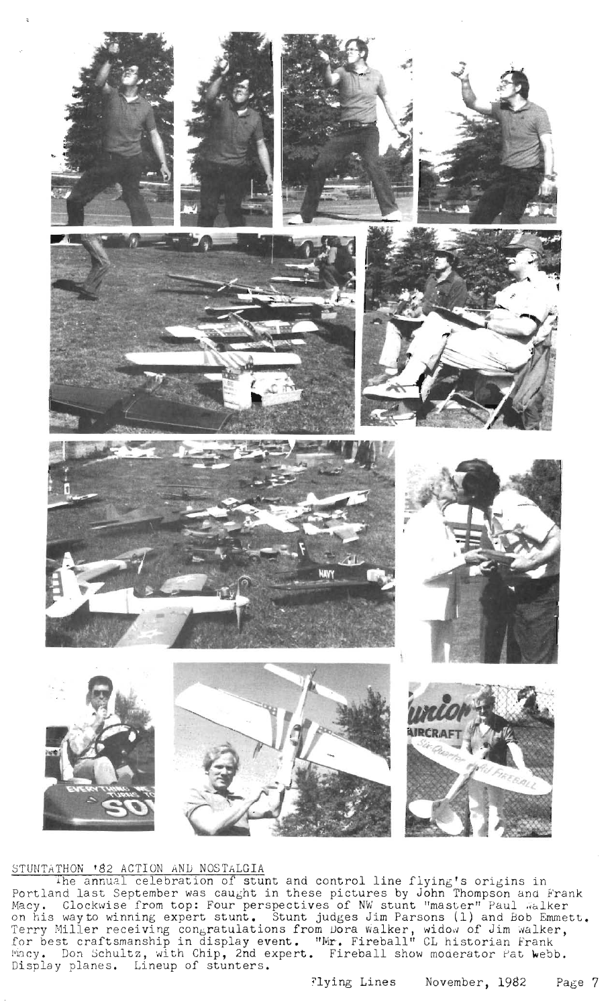

## STUNTATHON '82 ACTION AND NOSTALGIA

The annual celebration of stunt and control line flying's origins in Portland last September was caught in these pictures by John Thompson ana Frank Macy. Clockwise from top: Four perspectives of NW stunt "master" Paul Walker on his way to winning expert stunt. Stunt judges Jim Parsons (1) and Bob Emmett. Terry Miller receiving congratulations from Dora walker, widow of Jim walker, for best craftsmanship in display event. "Mr. Fireball" CL historian Frank wacy. Don Schultz, with Chip, 2nd expert. Fireball show moderator Pat Webb. Display planes. Lineup of stunters.